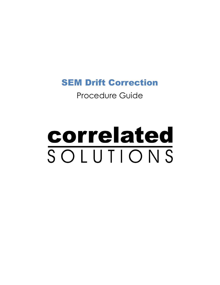# SEM Drift Correction

# Procedure Guide

# correlated SOLUTIONS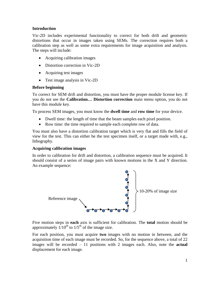### **Introduction**

Vic-2D includes experimental functionality to correct for both drift and geometric distortions that occur in images taken using SEMs. The correction requires both a calibration step as well as some extra requirements for image acquisition and analysis. The steps will include:

- Acquiring calibration images
- Distortion correction in Vic-2D
- Acquiring test images
- Test image analysis in Vic-2D

# **Before beginning**

To correct for SEM drift and distortion, you must have the proper module license key. If you do not see the **Calibration… Distortion correction** main menu option, you do not have this module key.

To process SEM images, you must know the **dwell time** and **row time** for your device.

- Dwell time: the length of time that the beam samples each pixel position.
- Row time: the time required to sample each complete row of data.

You must also have a distortion calibration target which is very flat and fills the field of view for the test. This can either be the test specimen itself, or a target made with, e.g., lithography.

# **Acquiring calibration images**

In order to calibration for drift and distortion, a calibration sequence must be acquired. It should consist of a series of image pairs with known motions in the X and Y direction. An example sequence:



Five motion steps in **each** axis is sufficient for calibration. The **total** motion should be approximately  $1/10^{th}$  to  $1/5^{th}$  of the image size.

For each position, you must acquire **two** images with no motion in between, and the acquisition time of each image must be recorded. So, for the sequence above, a total of 22 images will be recorded – 11 positions with 2 images each. Also, note the **actual**  displacement for each image.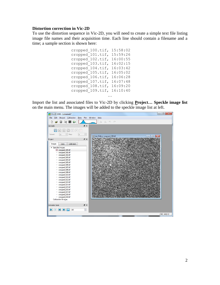#### **Distortion correction in Vic-2D**

To use the distortion sequence in Vic-2D, you will need to create a simple text file listing image file names and their acquisition time. Each line should contain a filename and a time; a sample section is shown here:

```
cropped_100.tif, 15:58:02
cropped_101.tif, 15:59:26
cropped_102.tif, 16:00:55
cropped_103.tif, 16:02:15
cropped_104.tif, 16:03:42
cropped_105.tif, 16:05:02
cropped_106.tif, 16:06:28
cropped_107.tif, 16:07:48
cropped_108.tif, 16:09:20
cropped_109.tif, 16:10:40
```
Import the list and associated files to Vic-2D by clicking **Project… Speckle image list** on the main menu. The images will be added to the speckle image list at left.

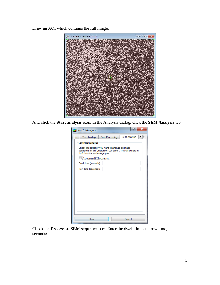Draw an AOI which contains the full image:



And click the **Start analysis** icon. In the Analysis dialog, click the **SEM Analysis** tab.

| E<br>×<br>Vic-2D Analysis                                                                                                                                                  |                       |                 |                     |  |  |  |  |
|----------------------------------------------------------------------------------------------------------------------------------------------------------------------------|-----------------------|-----------------|---------------------|--|--|--|--|
| ns.                                                                                                                                                                        | Thresholding          | Post-Processing | <b>SEM Analysis</b> |  |  |  |  |
| SEM image analysis<br>Check this option if you want to analyze an image<br>sequence for drift/distortion correction. This will generate<br>drift data for each image pair. |                       |                 |                     |  |  |  |  |
| Process as SEM sequence                                                                                                                                                    |                       |                 |                     |  |  |  |  |
|                                                                                                                                                                            | Dwell time (seconds): |                 |                     |  |  |  |  |
|                                                                                                                                                                            | Row time (seconds):   |                 |                     |  |  |  |  |
|                                                                                                                                                                            | Run                   |                 | Cancel              |  |  |  |  |

Check the **Process as SEM sequence** box. Enter the dwell time and row time, in seconds: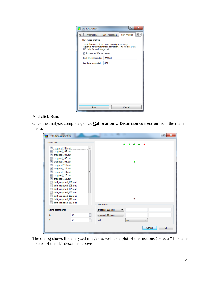| Vic-2D Analysis                                                                                                                                      | E<br>x                           |                     |  |  |  |  |  |
|------------------------------------------------------------------------------------------------------------------------------------------------------|----------------------------------|---------------------|--|--|--|--|--|
| Thresholding<br><b>ns</b>                                                                                                                            | Post-Processing                  | <b>SEM Analysis</b> |  |  |  |  |  |
| SEM image analysis                                                                                                                                   |                                  |                     |  |  |  |  |  |
| Check this option if you want to analyze an image<br>sequence for drift/distortion correction. This will generate<br>drift data for each image pair. |                                  |                     |  |  |  |  |  |
|                                                                                                                                                      | <b>V</b> Process as SEM sequence |                     |  |  |  |  |  |
| Dwell time (seconds):                                                                                                                                | .000001                          |                     |  |  |  |  |  |
| Row time (seconds):                                                                                                                                  | .1024                            |                     |  |  |  |  |  |
|                                                                                                                                                      |                                  |                     |  |  |  |  |  |
|                                                                                                                                                      |                                  |                     |  |  |  |  |  |
|                                                                                                                                                      |                                  |                     |  |  |  |  |  |
|                                                                                                                                                      |                                  |                     |  |  |  |  |  |
|                                                                                                                                                      |                                  |                     |  |  |  |  |  |
|                                                                                                                                                      |                                  |                     |  |  |  |  |  |
|                                                                                                                                                      |                                  |                     |  |  |  |  |  |
|                                                                                                                                                      |                                  |                     |  |  |  |  |  |
| Run                                                                                                                                                  |                                  | Cancel              |  |  |  |  |  |

#### And click **Run**.

Once the analysis completes, click **Calibration… Distortion correction** from the main menu.

| <b>Distortion calibration</b>                  |         | P                                           | $\overline{\mathbf{x}}$ |
|------------------------------------------------|---------|---------------------------------------------|-------------------------|
| Data files                                     |         | $00$ 0<br>$\bullet$<br>$\bullet$            |                         |
| cropped_100.out                                |         |                                             |                         |
| cropped_102.out<br>$\overline{\mathsf{v}}$     |         |                                             |                         |
| cropped_104.out<br>V                           |         |                                             |                         |
| cropped_106.out<br>V                           |         |                                             |                         |
| cropped_108.out<br>V                           |         | ٥                                           |                         |
| cropped_110.out<br>V                           |         |                                             |                         |
| cropped_112.out<br>V                           |         |                                             |                         |
| cropped_114.out<br>V                           | Ξ       |                                             |                         |
| cropped_116.out<br>⊽                           |         |                                             |                         |
| cropped_118.out<br>⊽                           |         |                                             |                         |
| drift_cropped_101.out                          |         |                                             |                         |
| drift_cropped_103.out                          |         |                                             |                         |
| drift_cropped_105.out                          |         |                                             |                         |
| drift_cropped_107.out                          |         |                                             |                         |
| drift_cropped_109.out<br>drift_cropped_111.out |         |                                             |                         |
| drift_cropped_113.out                          |         |                                             |                         |
| ٠                                              |         | Constraints                                 |                         |
| Spline coefficients                            |         | cropped_110.out<br>۰                        |                         |
| $X$ :                                          | ÷<br>10 | cropped_114.out<br>$\overline{\phantom{a}}$ |                         |
| Y:                                             | ÷<br>10 | Unit:<br>mm.                                |                         |
|                                                |         | Ok<br>Cancel                                |                         |

The dialog shows the analyzed images as well as a plot of the motions (here, a "T" shape instead of the "L" described above).